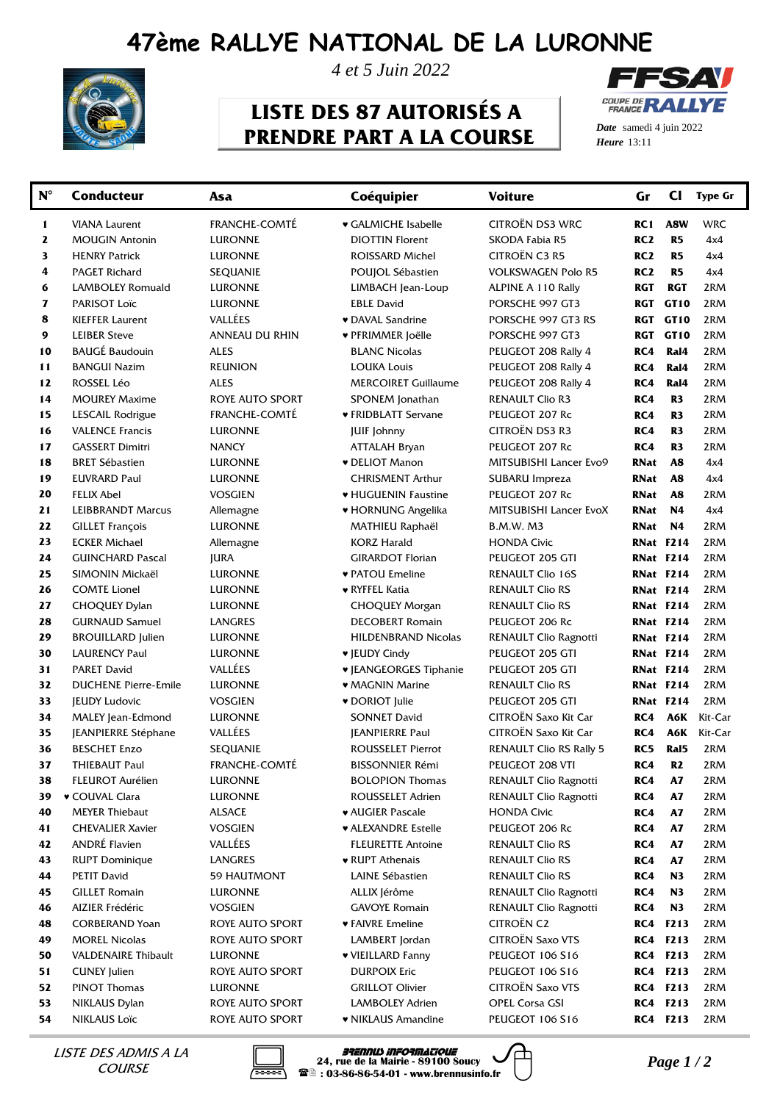## **47ème RALLYE NATIONAL DE LA LURONNE**



*4 et 5 Juin 2022*

## **LISTE DES 87 AUTORISÉS A PRENDRE PART A LA COURSE**



*Date* samedi 4 juin 2022 *Heure*

| CITROËN DS3 WRC<br><b>FRANCHE-COMTE</b><br><b>WRC</b><br>♥ GALMICHE Isabelle<br>A8W<br>1<br><b>VIANA Laurent</b><br>RC1<br>RC <sub>2</sub><br>R <sub>5</sub><br>2<br><b>MOUGIN Antonin</b><br><b>LURONNE</b><br><b>DIOTTIN Florent</b><br>SKODA Fabia R5<br>4x4<br>CITROËN C3 R5<br>3<br>RC <sub>2</sub><br>R <sub>5</sub><br>4x4<br><b>HENRY Patrick</b><br><b>LURONNE</b><br>ROISSARD Michel<br>4<br>RC <sub>2</sub><br>R <sub>5</sub><br>4x4<br><b>PAGET Richard</b><br><b>SEQUANIE</b><br>POUJOL Sébastien<br><b>VOLKSWAGEN Polo R5</b><br>6<br>LAMBOLEY Romuald<br><b>RGT</b><br><b>RGT</b><br>2RM<br><b>LURONNE</b><br>LIMBACH Jean-Loup<br>ALPINE A 110 Rally<br>7<br>2RM<br><b>PARISOT Loïc</b><br><b>LURONNE</b><br><b>EBLE David</b><br>PORSCHE 997 GT3<br><b>RGT</b><br>GT10<br>VALLÉES<br>8<br><b>v</b> DAVAL Sandrine<br>RGT<br>GT10<br>2RM<br><b>KIEFFER Laurent</b><br>PORSCHE 997 GT3 RS<br>9<br><b>LEIBER Steve</b><br>ANNEAU DU RHIN<br><b>RGT</b><br>GT10<br>2RM<br>♥ PFRIMMER Joëlle<br>PORSCHE 997 GT3<br><b>BAUGÉ Baudouin</b><br>10<br><b>ALES</b><br>RC4<br>Ral4<br>2RM<br><b>BLANC Nicolas</b><br>PEUGEOT 208 Rally 4<br>RC4<br>Ral4<br>2RM<br>11<br><b>BANGUI Nazim</b><br><b>REUNION</b><br><b>LOUKA Louis</b><br>PEUGEOT 208 Rally 4<br>12<br>ROSSEL Léo<br>RC4<br>2RM<br><b>ALES</b><br><b>MERCOIRET Guillaume</b><br>PEUGEOT 208 Rally 4<br>Ral4<br>14<br>RC4<br>2RM<br><b>MOUREY Maxime</b><br>ROYE AUTO SPORT<br>SPONEM Jonathan<br><b>RENAULT Clio R3</b><br>R3<br>2RM<br>15<br>LESCAIL Rodrigue<br><b>FRANCHE-COMTE</b><br>♥ FRIDBLATT Servane<br>PEUGEOT 207 Rc<br>RC4<br>R <sub>3</sub><br>CITROËN DS3 R3<br>16<br>RC4<br>2RM<br><b>VALENCE Francis</b><br><b>LURONNE</b><br><b>JUIF Johnny</b><br>R3<br>17<br>PEUGEOT 207 Rc<br>RC4<br>2RM<br><b>GASSERT Dimitri</b><br><b>NANCY</b><br><b>ATTALAH Bryan</b><br>R3<br>18<br>MITSUBISHI Lancer Evo9<br>RNat<br>4x4<br><b>BRET Sébastien</b><br><b>v</b> DELIOT Manon<br>A8<br>LURONNE<br>19<br><b>EUVRARD Paul</b><br>4x4<br><b>CHRISMENT Arthur</b><br>SUBARU Impreza<br>RNat<br>A8<br>LURONNE<br>2RM<br>20<br><b>FELIX Abel</b><br><b>VOSGIEN</b><br>♥ HUGUENIN Faustine<br>PEUGEOT 207 Rc<br>RNat<br>A8<br>21<br>MITSUBISHI Lancer EvoX<br>4x4<br><b>LEIBBRANDT Marcus</b><br>♥ HORNUNG Angelika<br>RNat<br>N4<br>Allemagne<br>22<br>2RM<br><b>GILLET François</b><br><b>LURONNE</b><br><b>B.M.W. M3</b><br>RNat<br>N4<br>MATHIEU Raphaël<br>23<br>2RM<br><b>ECKER Michael</b><br><b>KORZ Harald</b><br><b>HONDA Civic</b><br><b>RNat F214</b><br>Allemagne<br>24<br>2RM<br><b>GUINCHARD Pascal</b><br><b>JURA</b><br><b>GIRARDOT Florian</b><br>PEUGEOT 205 GTI<br><b>RNat F214</b><br>25<br>2RM<br>SIMONIN Mickaël<br><b>LURONNE</b><br>♥ PATOU Emeline<br><b>RENAULT Clio 16S</b><br><b>RNat F214</b><br>26<br>2RM<br><b>COMTE Lionel</b><br>♥ RYFFEL Katia<br><b>RENAULT Clio RS</b><br>RNat F214<br>LURONNE<br>27<br>2RM<br><b>CHOQUEY Dylan</b><br><b>CHOQUEY Morgan</b><br><b>RENAULT Clio RS</b><br><b>RNat F214</b><br>LURONNE<br>28<br><b>DECOBERT Romain</b><br>2RM<br><b>GURNAUD Samuel</b><br>LANGRES<br>PEUGEOT 206 Rc<br>RNat F214<br>29<br><b>HILDENBRAND Nicolas</b><br>2RM<br><b>BROUILLARD</b> Julien<br><b>LURONNE</b><br>RENAULT Clio Ragnotti<br><b>RNat F214</b><br>30<br>2RM<br><b>LAURENCY Paul</b><br><b>LURONNE</b><br>♥ JEUDY Cindy<br>PEUGEOT 205 GTI<br>RNat F214<br>VALLÉES<br>31<br>2RM<br><b>PARET David</b><br><b>V JEANGEORGES Tiphanie</b><br>PEUGEOT 205 GTI<br><b>RNat F214</b><br>32<br>2RM<br><b>DUCHENE Pierre-Emile</b><br>LURONNE<br>• MAGNIN Marine<br><b>RENAULT Clio RS</b><br>RNat F214<br>33<br>PEUGEOT 205 GTI<br>2RM<br><b>IEUDY Ludovic</b><br><b>VOSGIEN</b><br><b>v</b> DORIOT Julie<br>RNat F214<br>CITROËN Saxo Kit Car<br>34<br>Kit-Car<br>MALEY Jean-Edmond<br><b>LURONNE</b><br><b>SONNET David</b><br>RC4<br>A6K<br>35<br>VALLÉES<br>CITROËN Saxo Kit Car<br>RC4<br><b>A6K</b><br>Kit-Car<br><b>JEANPIERRE Stéphane</b><br><b>JEANPIERRE Paul</b><br><b>RENAULT Clio RS Rally 5</b><br>RC5<br>Ral5<br>2RM<br>36<br><b>BESCHET Enzo</b><br><b>SEQUANIE</b><br><b>ROUSSELET Pierrot</b><br>37<br><b>FRANCHE-COMTÉ</b><br>2RM<br><b>BISSONNIER Rémi</b><br>PEUGEOT 208 VTI<br>RC4<br>R <sub>2</sub><br>THIEBAUT Paul<br>38<br><b>FLEUROT Aurélien</b><br><b>LURONNE</b><br><b>BOLOPION Thomas</b><br>RENAULT Clio Ragnotti<br>RC4<br><b>A7</b><br>2RM<br><b>v</b> COUVAL Clara<br>ROUSSELET Adrien<br>RENAULT Clio Ragnotti<br>RC4<br>A7<br>2RM<br>39<br><b>LURONNE</b><br>A7<br>40<br><b>MEYER Thiebaut</b><br><b>ALSACE</b><br><b>v</b> AUGIER Pascale<br><b>HONDA Civic</b><br>RC4<br>2RM<br>A7<br><b>CHEVALIER Xavier</b><br><b>VOSGIEN</b><br>RC4<br>2RM<br>41<br><b>v</b> ALEXANDRE Estelle<br>PEUGEOT 206 Rc<br>ANDRÉ Flavien<br>VALLÉES<br>42<br>A7<br>2RM<br><b>FLEURETTE Antoine</b><br><b>RENAULT Clio RS</b><br>RC4<br>43<br><b>RUPT Dominique</b><br>RC4<br><b>A7</b><br>2RM<br>LANGRES<br>♥ RUPT Athenais<br><b>RENAULT Clio RS</b><br><b>PETIT David</b><br>LAINE Sébastien<br>RC4<br>N3<br>2RM<br>44<br>59 HAUTMONT<br><b>RENAULT Clio RS</b><br>45<br><b>GILLET Romain</b><br>ALLIX Jérôme<br>RENAULT Clio Ragnotti<br>RC4<br>N3<br>2RM<br><b>LURONNE</b><br>AIZIER Frédéric<br><b>GAVOYE Romain</b><br>RENAULT Clio Ragnotti<br>RC4<br>N3<br>2RM<br>46<br><b>VOSGIEN</b><br><b>CITROËN C2</b><br><b>v</b> FAIVRE Emeline<br>F213<br>2RM<br>48<br><b>CORBERAND Yoan</b><br>ROYE AUTO SPORT<br>RC4<br><b>CITROËN Saxo VTS</b><br><b>MOREL Nicolas</b><br>ROYE AUTO SPORT<br>LAMBERT Jordan<br>RC4<br><b>F213</b><br>2RM<br>49<br><b>VALDENAIRE Thibault</b><br>♥ VIEILLARD Fanny<br>PEUGEOT 106 S16<br>RC4<br><b>F213</b><br>2RM<br>50<br><b>LURONNE</b><br><b>F213</b><br>51<br><b>DURPOIX Eric</b><br><b>PEUGEOT 106 S16</b><br>RC4<br>2RM<br><b>CUNEY Julien</b><br>ROYE AUTO SPORT<br><b>CITROËN Saxo VTS</b><br>52<br>PINOT Thomas<br><b>GRILLOT Olivier</b><br>RC4<br><b>F213</b><br>2RM<br><b>LURONNE</b><br>53<br><b>OPEL Corsa GSI</b><br>2RM<br>NIKLAUS Dylan<br>ROYE AUTO SPORT<br>LAMBOLEY Adrien<br>RC4<br><b>F213</b><br><b>RC4 F213</b> | $N^{\circ}$ | <b>Conducteur</b>   | Asa             | Coéquipier         | <b>Voiture</b>         | Gr | $_{\rm CI}$ | <b>Type Gr</b> |
|-----------------------------------------------------------------------------------------------------------------------------------------------------------------------------------------------------------------------------------------------------------------------------------------------------------------------------------------------------------------------------------------------------------------------------------------------------------------------------------------------------------------------------------------------------------------------------------------------------------------------------------------------------------------------------------------------------------------------------------------------------------------------------------------------------------------------------------------------------------------------------------------------------------------------------------------------------------------------------------------------------------------------------------------------------------------------------------------------------------------------------------------------------------------------------------------------------------------------------------------------------------------------------------------------------------------------------------------------------------------------------------------------------------------------------------------------------------------------------------------------------------------------------------------------------------------------------------------------------------------------------------------------------------------------------------------------------------------------------------------------------------------------------------------------------------------------------------------------------------------------------------------------------------------------------------------------------------------------------------------------------------------------------------------------------------------------------------------------------------------------------------------------------------------------------------------------------------------------------------------------------------------------------------------------------------------------------------------------------------------------------------------------------------------------------------------------------------------------------------------------------------------------------------------------------------------------------------------------------------------------------------------------------------------------------------------------------------------------------------------------------------------------------------------------------------------------------------------------------------------------------------------------------------------------------------------------------------------------------------------------------------------------------------------------------------------------------------------------------------------------------------------------------------------------------------------------------------------------------------------------------------------------------------------------------------------------------------------------------------------------------------------------------------------------------------------------------------------------------------------------------------------------------------------------------------------------------------------------------------------------------------------------------------------------------------------------------------------------------------------------------------------------------------------------------------------------------------------------------------------------------------------------------------------------------------------------------------------------------------------------------------------------------------------------------------------------------------------------------------------------------------------------------------------------------------------------------------------------------------------------------------------------------------------------------------------------------------------------------------------------------------------------------------------------------------------------------------------------------------------------------------------------------------------------------------------------------------------------------------------------------------------------------------------------------------------------------------------------------------------------------------------------------------------------------------------------------------------------------------------------------------------------------------------------------------------------------------------------------------------------------------------------------------------------------------------------------------------------------------------------------------------------------------------------------------------------------------------------------------------------------------------------------------------------------------------------------------------------------------------------------------------------------------------------------------------------------------------------------------------------------------------------------------------------------------------------------------------------------------------------------------------------------------------------------------------------------------------------------------------------------------------------------------------------------------------------------------------------------------------------------------------------------------------------------------------------------------------------------------------------------------------------------------------------------------------------------------------------------------------------|-------------|---------------------|-----------------|--------------------|------------------------|----|-------------|----------------|
|                                                                                                                                                                                                                                                                                                                                                                                                                                                                                                                                                                                                                                                                                                                                                                                                                                                                                                                                                                                                                                                                                                                                                                                                                                                                                                                                                                                                                                                                                                                                                                                                                                                                                                                                                                                                                                                                                                                                                                                                                                                                                                                                                                                                                                                                                                                                                                                                                                                                                                                                                                                                                                                                                                                                                                                                                                                                                                                                                                                                                                                                                                                                                                                                                                                                                                                                                                                                                                                                                                                                                                                                                                                                                                                                                                                                                                                                                                                                                                                                                                                                                                                                                                                                                                                                                                                                                                                                                                                                                                                                                                                                                                                                                                                                                                                                                                                                                                                                                                                                                                                                                                                                                                                                                                                                                                                                                                                                                                                                                                                                                                                                                                                                                                                                                                                                                                                                                                                                                                                                                                                                                                                       |             |                     |                 |                    |                        |    |             |                |
|                                                                                                                                                                                                                                                                                                                                                                                                                                                                                                                                                                                                                                                                                                                                                                                                                                                                                                                                                                                                                                                                                                                                                                                                                                                                                                                                                                                                                                                                                                                                                                                                                                                                                                                                                                                                                                                                                                                                                                                                                                                                                                                                                                                                                                                                                                                                                                                                                                                                                                                                                                                                                                                                                                                                                                                                                                                                                                                                                                                                                                                                                                                                                                                                                                                                                                                                                                                                                                                                                                                                                                                                                                                                                                                                                                                                                                                                                                                                                                                                                                                                                                                                                                                                                                                                                                                                                                                                                                                                                                                                                                                                                                                                                                                                                                                                                                                                                                                                                                                                                                                                                                                                                                                                                                                                                                                                                                                                                                                                                                                                                                                                                                                                                                                                                                                                                                                                                                                                                                                                                                                                                                                       |             |                     |                 |                    |                        |    |             |                |
|                                                                                                                                                                                                                                                                                                                                                                                                                                                                                                                                                                                                                                                                                                                                                                                                                                                                                                                                                                                                                                                                                                                                                                                                                                                                                                                                                                                                                                                                                                                                                                                                                                                                                                                                                                                                                                                                                                                                                                                                                                                                                                                                                                                                                                                                                                                                                                                                                                                                                                                                                                                                                                                                                                                                                                                                                                                                                                                                                                                                                                                                                                                                                                                                                                                                                                                                                                                                                                                                                                                                                                                                                                                                                                                                                                                                                                                                                                                                                                                                                                                                                                                                                                                                                                                                                                                                                                                                                                                                                                                                                                                                                                                                                                                                                                                                                                                                                                                                                                                                                                                                                                                                                                                                                                                                                                                                                                                                                                                                                                                                                                                                                                                                                                                                                                                                                                                                                                                                                                                                                                                                                                                       |             |                     |                 |                    |                        |    |             |                |
|                                                                                                                                                                                                                                                                                                                                                                                                                                                                                                                                                                                                                                                                                                                                                                                                                                                                                                                                                                                                                                                                                                                                                                                                                                                                                                                                                                                                                                                                                                                                                                                                                                                                                                                                                                                                                                                                                                                                                                                                                                                                                                                                                                                                                                                                                                                                                                                                                                                                                                                                                                                                                                                                                                                                                                                                                                                                                                                                                                                                                                                                                                                                                                                                                                                                                                                                                                                                                                                                                                                                                                                                                                                                                                                                                                                                                                                                                                                                                                                                                                                                                                                                                                                                                                                                                                                                                                                                                                                                                                                                                                                                                                                                                                                                                                                                                                                                                                                                                                                                                                                                                                                                                                                                                                                                                                                                                                                                                                                                                                                                                                                                                                                                                                                                                                                                                                                                                                                                                                                                                                                                                                                       |             |                     |                 |                    |                        |    |             |                |
|                                                                                                                                                                                                                                                                                                                                                                                                                                                                                                                                                                                                                                                                                                                                                                                                                                                                                                                                                                                                                                                                                                                                                                                                                                                                                                                                                                                                                                                                                                                                                                                                                                                                                                                                                                                                                                                                                                                                                                                                                                                                                                                                                                                                                                                                                                                                                                                                                                                                                                                                                                                                                                                                                                                                                                                                                                                                                                                                                                                                                                                                                                                                                                                                                                                                                                                                                                                                                                                                                                                                                                                                                                                                                                                                                                                                                                                                                                                                                                                                                                                                                                                                                                                                                                                                                                                                                                                                                                                                                                                                                                                                                                                                                                                                                                                                                                                                                                                                                                                                                                                                                                                                                                                                                                                                                                                                                                                                                                                                                                                                                                                                                                                                                                                                                                                                                                                                                                                                                                                                                                                                                                                       |             |                     |                 |                    |                        |    |             |                |
|                                                                                                                                                                                                                                                                                                                                                                                                                                                                                                                                                                                                                                                                                                                                                                                                                                                                                                                                                                                                                                                                                                                                                                                                                                                                                                                                                                                                                                                                                                                                                                                                                                                                                                                                                                                                                                                                                                                                                                                                                                                                                                                                                                                                                                                                                                                                                                                                                                                                                                                                                                                                                                                                                                                                                                                                                                                                                                                                                                                                                                                                                                                                                                                                                                                                                                                                                                                                                                                                                                                                                                                                                                                                                                                                                                                                                                                                                                                                                                                                                                                                                                                                                                                                                                                                                                                                                                                                                                                                                                                                                                                                                                                                                                                                                                                                                                                                                                                                                                                                                                                                                                                                                                                                                                                                                                                                                                                                                                                                                                                                                                                                                                                                                                                                                                                                                                                                                                                                                                                                                                                                                                                       |             |                     |                 |                    |                        |    |             |                |
|                                                                                                                                                                                                                                                                                                                                                                                                                                                                                                                                                                                                                                                                                                                                                                                                                                                                                                                                                                                                                                                                                                                                                                                                                                                                                                                                                                                                                                                                                                                                                                                                                                                                                                                                                                                                                                                                                                                                                                                                                                                                                                                                                                                                                                                                                                                                                                                                                                                                                                                                                                                                                                                                                                                                                                                                                                                                                                                                                                                                                                                                                                                                                                                                                                                                                                                                                                                                                                                                                                                                                                                                                                                                                                                                                                                                                                                                                                                                                                                                                                                                                                                                                                                                                                                                                                                                                                                                                                                                                                                                                                                                                                                                                                                                                                                                                                                                                                                                                                                                                                                                                                                                                                                                                                                                                                                                                                                                                                                                                                                                                                                                                                                                                                                                                                                                                                                                                                                                                                                                                                                                                                                       |             |                     |                 |                    |                        |    |             |                |
|                                                                                                                                                                                                                                                                                                                                                                                                                                                                                                                                                                                                                                                                                                                                                                                                                                                                                                                                                                                                                                                                                                                                                                                                                                                                                                                                                                                                                                                                                                                                                                                                                                                                                                                                                                                                                                                                                                                                                                                                                                                                                                                                                                                                                                                                                                                                                                                                                                                                                                                                                                                                                                                                                                                                                                                                                                                                                                                                                                                                                                                                                                                                                                                                                                                                                                                                                                                                                                                                                                                                                                                                                                                                                                                                                                                                                                                                                                                                                                                                                                                                                                                                                                                                                                                                                                                                                                                                                                                                                                                                                                                                                                                                                                                                                                                                                                                                                                                                                                                                                                                                                                                                                                                                                                                                                                                                                                                                                                                                                                                                                                                                                                                                                                                                                                                                                                                                                                                                                                                                                                                                                                                       |             |                     |                 |                    |                        |    |             |                |
|                                                                                                                                                                                                                                                                                                                                                                                                                                                                                                                                                                                                                                                                                                                                                                                                                                                                                                                                                                                                                                                                                                                                                                                                                                                                                                                                                                                                                                                                                                                                                                                                                                                                                                                                                                                                                                                                                                                                                                                                                                                                                                                                                                                                                                                                                                                                                                                                                                                                                                                                                                                                                                                                                                                                                                                                                                                                                                                                                                                                                                                                                                                                                                                                                                                                                                                                                                                                                                                                                                                                                                                                                                                                                                                                                                                                                                                                                                                                                                                                                                                                                                                                                                                                                                                                                                                                                                                                                                                                                                                                                                                                                                                                                                                                                                                                                                                                                                                                                                                                                                                                                                                                                                                                                                                                                                                                                                                                                                                                                                                                                                                                                                                                                                                                                                                                                                                                                                                                                                                                                                                                                                                       |             |                     |                 |                    |                        |    |             |                |
|                                                                                                                                                                                                                                                                                                                                                                                                                                                                                                                                                                                                                                                                                                                                                                                                                                                                                                                                                                                                                                                                                                                                                                                                                                                                                                                                                                                                                                                                                                                                                                                                                                                                                                                                                                                                                                                                                                                                                                                                                                                                                                                                                                                                                                                                                                                                                                                                                                                                                                                                                                                                                                                                                                                                                                                                                                                                                                                                                                                                                                                                                                                                                                                                                                                                                                                                                                                                                                                                                                                                                                                                                                                                                                                                                                                                                                                                                                                                                                                                                                                                                                                                                                                                                                                                                                                                                                                                                                                                                                                                                                                                                                                                                                                                                                                                                                                                                                                                                                                                                                                                                                                                                                                                                                                                                                                                                                                                                                                                                                                                                                                                                                                                                                                                                                                                                                                                                                                                                                                                                                                                                                                       |             |                     |                 |                    |                        |    |             |                |
|                                                                                                                                                                                                                                                                                                                                                                                                                                                                                                                                                                                                                                                                                                                                                                                                                                                                                                                                                                                                                                                                                                                                                                                                                                                                                                                                                                                                                                                                                                                                                                                                                                                                                                                                                                                                                                                                                                                                                                                                                                                                                                                                                                                                                                                                                                                                                                                                                                                                                                                                                                                                                                                                                                                                                                                                                                                                                                                                                                                                                                                                                                                                                                                                                                                                                                                                                                                                                                                                                                                                                                                                                                                                                                                                                                                                                                                                                                                                                                                                                                                                                                                                                                                                                                                                                                                                                                                                                                                                                                                                                                                                                                                                                                                                                                                                                                                                                                                                                                                                                                                                                                                                                                                                                                                                                                                                                                                                                                                                                                                                                                                                                                                                                                                                                                                                                                                                                                                                                                                                                                                                                                                       |             |                     |                 |                    |                        |    |             |                |
|                                                                                                                                                                                                                                                                                                                                                                                                                                                                                                                                                                                                                                                                                                                                                                                                                                                                                                                                                                                                                                                                                                                                                                                                                                                                                                                                                                                                                                                                                                                                                                                                                                                                                                                                                                                                                                                                                                                                                                                                                                                                                                                                                                                                                                                                                                                                                                                                                                                                                                                                                                                                                                                                                                                                                                                                                                                                                                                                                                                                                                                                                                                                                                                                                                                                                                                                                                                                                                                                                                                                                                                                                                                                                                                                                                                                                                                                                                                                                                                                                                                                                                                                                                                                                                                                                                                                                                                                                                                                                                                                                                                                                                                                                                                                                                                                                                                                                                                                                                                                                                                                                                                                                                                                                                                                                                                                                                                                                                                                                                                                                                                                                                                                                                                                                                                                                                                                                                                                                                                                                                                                                                                       |             |                     |                 |                    |                        |    |             |                |
|                                                                                                                                                                                                                                                                                                                                                                                                                                                                                                                                                                                                                                                                                                                                                                                                                                                                                                                                                                                                                                                                                                                                                                                                                                                                                                                                                                                                                                                                                                                                                                                                                                                                                                                                                                                                                                                                                                                                                                                                                                                                                                                                                                                                                                                                                                                                                                                                                                                                                                                                                                                                                                                                                                                                                                                                                                                                                                                                                                                                                                                                                                                                                                                                                                                                                                                                                                                                                                                                                                                                                                                                                                                                                                                                                                                                                                                                                                                                                                                                                                                                                                                                                                                                                                                                                                                                                                                                                                                                                                                                                                                                                                                                                                                                                                                                                                                                                                                                                                                                                                                                                                                                                                                                                                                                                                                                                                                                                                                                                                                                                                                                                                                                                                                                                                                                                                                                                                                                                                                                                                                                                                                       |             |                     |                 |                    |                        |    |             |                |
|                                                                                                                                                                                                                                                                                                                                                                                                                                                                                                                                                                                                                                                                                                                                                                                                                                                                                                                                                                                                                                                                                                                                                                                                                                                                                                                                                                                                                                                                                                                                                                                                                                                                                                                                                                                                                                                                                                                                                                                                                                                                                                                                                                                                                                                                                                                                                                                                                                                                                                                                                                                                                                                                                                                                                                                                                                                                                                                                                                                                                                                                                                                                                                                                                                                                                                                                                                                                                                                                                                                                                                                                                                                                                                                                                                                                                                                                                                                                                                                                                                                                                                                                                                                                                                                                                                                                                                                                                                                                                                                                                                                                                                                                                                                                                                                                                                                                                                                                                                                                                                                                                                                                                                                                                                                                                                                                                                                                                                                                                                                                                                                                                                                                                                                                                                                                                                                                                                                                                                                                                                                                                                                       |             |                     |                 |                    |                        |    |             |                |
|                                                                                                                                                                                                                                                                                                                                                                                                                                                                                                                                                                                                                                                                                                                                                                                                                                                                                                                                                                                                                                                                                                                                                                                                                                                                                                                                                                                                                                                                                                                                                                                                                                                                                                                                                                                                                                                                                                                                                                                                                                                                                                                                                                                                                                                                                                                                                                                                                                                                                                                                                                                                                                                                                                                                                                                                                                                                                                                                                                                                                                                                                                                                                                                                                                                                                                                                                                                                                                                                                                                                                                                                                                                                                                                                                                                                                                                                                                                                                                                                                                                                                                                                                                                                                                                                                                                                                                                                                                                                                                                                                                                                                                                                                                                                                                                                                                                                                                                                                                                                                                                                                                                                                                                                                                                                                                                                                                                                                                                                                                                                                                                                                                                                                                                                                                                                                                                                                                                                                                                                                                                                                                                       |             |                     |                 |                    |                        |    |             |                |
|                                                                                                                                                                                                                                                                                                                                                                                                                                                                                                                                                                                                                                                                                                                                                                                                                                                                                                                                                                                                                                                                                                                                                                                                                                                                                                                                                                                                                                                                                                                                                                                                                                                                                                                                                                                                                                                                                                                                                                                                                                                                                                                                                                                                                                                                                                                                                                                                                                                                                                                                                                                                                                                                                                                                                                                                                                                                                                                                                                                                                                                                                                                                                                                                                                                                                                                                                                                                                                                                                                                                                                                                                                                                                                                                                                                                                                                                                                                                                                                                                                                                                                                                                                                                                                                                                                                                                                                                                                                                                                                                                                                                                                                                                                                                                                                                                                                                                                                                                                                                                                                                                                                                                                                                                                                                                                                                                                                                                                                                                                                                                                                                                                                                                                                                                                                                                                                                                                                                                                                                                                                                                                                       |             |                     |                 |                    |                        |    |             |                |
|                                                                                                                                                                                                                                                                                                                                                                                                                                                                                                                                                                                                                                                                                                                                                                                                                                                                                                                                                                                                                                                                                                                                                                                                                                                                                                                                                                                                                                                                                                                                                                                                                                                                                                                                                                                                                                                                                                                                                                                                                                                                                                                                                                                                                                                                                                                                                                                                                                                                                                                                                                                                                                                                                                                                                                                                                                                                                                                                                                                                                                                                                                                                                                                                                                                                                                                                                                                                                                                                                                                                                                                                                                                                                                                                                                                                                                                                                                                                                                                                                                                                                                                                                                                                                                                                                                                                                                                                                                                                                                                                                                                                                                                                                                                                                                                                                                                                                                                                                                                                                                                                                                                                                                                                                                                                                                                                                                                                                                                                                                                                                                                                                                                                                                                                                                                                                                                                                                                                                                                                                                                                                                                       |             |                     |                 |                    |                        |    |             |                |
|                                                                                                                                                                                                                                                                                                                                                                                                                                                                                                                                                                                                                                                                                                                                                                                                                                                                                                                                                                                                                                                                                                                                                                                                                                                                                                                                                                                                                                                                                                                                                                                                                                                                                                                                                                                                                                                                                                                                                                                                                                                                                                                                                                                                                                                                                                                                                                                                                                                                                                                                                                                                                                                                                                                                                                                                                                                                                                                                                                                                                                                                                                                                                                                                                                                                                                                                                                                                                                                                                                                                                                                                                                                                                                                                                                                                                                                                                                                                                                                                                                                                                                                                                                                                                                                                                                                                                                                                                                                                                                                                                                                                                                                                                                                                                                                                                                                                                                                                                                                                                                                                                                                                                                                                                                                                                                                                                                                                                                                                                                                                                                                                                                                                                                                                                                                                                                                                                                                                                                                                                                                                                                                       |             |                     |                 |                    |                        |    |             |                |
|                                                                                                                                                                                                                                                                                                                                                                                                                                                                                                                                                                                                                                                                                                                                                                                                                                                                                                                                                                                                                                                                                                                                                                                                                                                                                                                                                                                                                                                                                                                                                                                                                                                                                                                                                                                                                                                                                                                                                                                                                                                                                                                                                                                                                                                                                                                                                                                                                                                                                                                                                                                                                                                                                                                                                                                                                                                                                                                                                                                                                                                                                                                                                                                                                                                                                                                                                                                                                                                                                                                                                                                                                                                                                                                                                                                                                                                                                                                                                                                                                                                                                                                                                                                                                                                                                                                                                                                                                                                                                                                                                                                                                                                                                                                                                                                                                                                                                                                                                                                                                                                                                                                                                                                                                                                                                                                                                                                                                                                                                                                                                                                                                                                                                                                                                                                                                                                                                                                                                                                                                                                                                                                       |             |                     |                 |                    |                        |    |             |                |
|                                                                                                                                                                                                                                                                                                                                                                                                                                                                                                                                                                                                                                                                                                                                                                                                                                                                                                                                                                                                                                                                                                                                                                                                                                                                                                                                                                                                                                                                                                                                                                                                                                                                                                                                                                                                                                                                                                                                                                                                                                                                                                                                                                                                                                                                                                                                                                                                                                                                                                                                                                                                                                                                                                                                                                                                                                                                                                                                                                                                                                                                                                                                                                                                                                                                                                                                                                                                                                                                                                                                                                                                                                                                                                                                                                                                                                                                                                                                                                                                                                                                                                                                                                                                                                                                                                                                                                                                                                                                                                                                                                                                                                                                                                                                                                                                                                                                                                                                                                                                                                                                                                                                                                                                                                                                                                                                                                                                                                                                                                                                                                                                                                                                                                                                                                                                                                                                                                                                                                                                                                                                                                                       |             |                     |                 |                    |                        |    |             |                |
|                                                                                                                                                                                                                                                                                                                                                                                                                                                                                                                                                                                                                                                                                                                                                                                                                                                                                                                                                                                                                                                                                                                                                                                                                                                                                                                                                                                                                                                                                                                                                                                                                                                                                                                                                                                                                                                                                                                                                                                                                                                                                                                                                                                                                                                                                                                                                                                                                                                                                                                                                                                                                                                                                                                                                                                                                                                                                                                                                                                                                                                                                                                                                                                                                                                                                                                                                                                                                                                                                                                                                                                                                                                                                                                                                                                                                                                                                                                                                                                                                                                                                                                                                                                                                                                                                                                                                                                                                                                                                                                                                                                                                                                                                                                                                                                                                                                                                                                                                                                                                                                                                                                                                                                                                                                                                                                                                                                                                                                                                                                                                                                                                                                                                                                                                                                                                                                                                                                                                                                                                                                                                                                       |             |                     |                 |                    |                        |    |             |                |
|                                                                                                                                                                                                                                                                                                                                                                                                                                                                                                                                                                                                                                                                                                                                                                                                                                                                                                                                                                                                                                                                                                                                                                                                                                                                                                                                                                                                                                                                                                                                                                                                                                                                                                                                                                                                                                                                                                                                                                                                                                                                                                                                                                                                                                                                                                                                                                                                                                                                                                                                                                                                                                                                                                                                                                                                                                                                                                                                                                                                                                                                                                                                                                                                                                                                                                                                                                                                                                                                                                                                                                                                                                                                                                                                                                                                                                                                                                                                                                                                                                                                                                                                                                                                                                                                                                                                                                                                                                                                                                                                                                                                                                                                                                                                                                                                                                                                                                                                                                                                                                                                                                                                                                                                                                                                                                                                                                                                                                                                                                                                                                                                                                                                                                                                                                                                                                                                                                                                                                                                                                                                                                                       |             |                     |                 |                    |                        |    |             |                |
|                                                                                                                                                                                                                                                                                                                                                                                                                                                                                                                                                                                                                                                                                                                                                                                                                                                                                                                                                                                                                                                                                                                                                                                                                                                                                                                                                                                                                                                                                                                                                                                                                                                                                                                                                                                                                                                                                                                                                                                                                                                                                                                                                                                                                                                                                                                                                                                                                                                                                                                                                                                                                                                                                                                                                                                                                                                                                                                                                                                                                                                                                                                                                                                                                                                                                                                                                                                                                                                                                                                                                                                                                                                                                                                                                                                                                                                                                                                                                                                                                                                                                                                                                                                                                                                                                                                                                                                                                                                                                                                                                                                                                                                                                                                                                                                                                                                                                                                                                                                                                                                                                                                                                                                                                                                                                                                                                                                                                                                                                                                                                                                                                                                                                                                                                                                                                                                                                                                                                                                                                                                                                                                       |             |                     |                 |                    |                        |    |             |                |
|                                                                                                                                                                                                                                                                                                                                                                                                                                                                                                                                                                                                                                                                                                                                                                                                                                                                                                                                                                                                                                                                                                                                                                                                                                                                                                                                                                                                                                                                                                                                                                                                                                                                                                                                                                                                                                                                                                                                                                                                                                                                                                                                                                                                                                                                                                                                                                                                                                                                                                                                                                                                                                                                                                                                                                                                                                                                                                                                                                                                                                                                                                                                                                                                                                                                                                                                                                                                                                                                                                                                                                                                                                                                                                                                                                                                                                                                                                                                                                                                                                                                                                                                                                                                                                                                                                                                                                                                                                                                                                                                                                                                                                                                                                                                                                                                                                                                                                                                                                                                                                                                                                                                                                                                                                                                                                                                                                                                                                                                                                                                                                                                                                                                                                                                                                                                                                                                                                                                                                                                                                                                                                                       |             |                     |                 |                    |                        |    |             |                |
|                                                                                                                                                                                                                                                                                                                                                                                                                                                                                                                                                                                                                                                                                                                                                                                                                                                                                                                                                                                                                                                                                                                                                                                                                                                                                                                                                                                                                                                                                                                                                                                                                                                                                                                                                                                                                                                                                                                                                                                                                                                                                                                                                                                                                                                                                                                                                                                                                                                                                                                                                                                                                                                                                                                                                                                                                                                                                                                                                                                                                                                                                                                                                                                                                                                                                                                                                                                                                                                                                                                                                                                                                                                                                                                                                                                                                                                                                                                                                                                                                                                                                                                                                                                                                                                                                                                                                                                                                                                                                                                                                                                                                                                                                                                                                                                                                                                                                                                                                                                                                                                                                                                                                                                                                                                                                                                                                                                                                                                                                                                                                                                                                                                                                                                                                                                                                                                                                                                                                                                                                                                                                                                       |             |                     |                 |                    |                        |    |             |                |
|                                                                                                                                                                                                                                                                                                                                                                                                                                                                                                                                                                                                                                                                                                                                                                                                                                                                                                                                                                                                                                                                                                                                                                                                                                                                                                                                                                                                                                                                                                                                                                                                                                                                                                                                                                                                                                                                                                                                                                                                                                                                                                                                                                                                                                                                                                                                                                                                                                                                                                                                                                                                                                                                                                                                                                                                                                                                                                                                                                                                                                                                                                                                                                                                                                                                                                                                                                                                                                                                                                                                                                                                                                                                                                                                                                                                                                                                                                                                                                                                                                                                                                                                                                                                                                                                                                                                                                                                                                                                                                                                                                                                                                                                                                                                                                                                                                                                                                                                                                                                                                                                                                                                                                                                                                                                                                                                                                                                                                                                                                                                                                                                                                                                                                                                                                                                                                                                                                                                                                                                                                                                                                                       |             |                     |                 |                    |                        |    |             |                |
|                                                                                                                                                                                                                                                                                                                                                                                                                                                                                                                                                                                                                                                                                                                                                                                                                                                                                                                                                                                                                                                                                                                                                                                                                                                                                                                                                                                                                                                                                                                                                                                                                                                                                                                                                                                                                                                                                                                                                                                                                                                                                                                                                                                                                                                                                                                                                                                                                                                                                                                                                                                                                                                                                                                                                                                                                                                                                                                                                                                                                                                                                                                                                                                                                                                                                                                                                                                                                                                                                                                                                                                                                                                                                                                                                                                                                                                                                                                                                                                                                                                                                                                                                                                                                                                                                                                                                                                                                                                                                                                                                                                                                                                                                                                                                                                                                                                                                                                                                                                                                                                                                                                                                                                                                                                                                                                                                                                                                                                                                                                                                                                                                                                                                                                                                                                                                                                                                                                                                                                                                                                                                                                       |             |                     |                 |                    |                        |    |             |                |
|                                                                                                                                                                                                                                                                                                                                                                                                                                                                                                                                                                                                                                                                                                                                                                                                                                                                                                                                                                                                                                                                                                                                                                                                                                                                                                                                                                                                                                                                                                                                                                                                                                                                                                                                                                                                                                                                                                                                                                                                                                                                                                                                                                                                                                                                                                                                                                                                                                                                                                                                                                                                                                                                                                                                                                                                                                                                                                                                                                                                                                                                                                                                                                                                                                                                                                                                                                                                                                                                                                                                                                                                                                                                                                                                                                                                                                                                                                                                                                                                                                                                                                                                                                                                                                                                                                                                                                                                                                                                                                                                                                                                                                                                                                                                                                                                                                                                                                                                                                                                                                                                                                                                                                                                                                                                                                                                                                                                                                                                                                                                                                                                                                                                                                                                                                                                                                                                                                                                                                                                                                                                                                                       |             |                     |                 |                    |                        |    |             |                |
|                                                                                                                                                                                                                                                                                                                                                                                                                                                                                                                                                                                                                                                                                                                                                                                                                                                                                                                                                                                                                                                                                                                                                                                                                                                                                                                                                                                                                                                                                                                                                                                                                                                                                                                                                                                                                                                                                                                                                                                                                                                                                                                                                                                                                                                                                                                                                                                                                                                                                                                                                                                                                                                                                                                                                                                                                                                                                                                                                                                                                                                                                                                                                                                                                                                                                                                                                                                                                                                                                                                                                                                                                                                                                                                                                                                                                                                                                                                                                                                                                                                                                                                                                                                                                                                                                                                                                                                                                                                                                                                                                                                                                                                                                                                                                                                                                                                                                                                                                                                                                                                                                                                                                                                                                                                                                                                                                                                                                                                                                                                                                                                                                                                                                                                                                                                                                                                                                                                                                                                                                                                                                                                       |             |                     |                 |                    |                        |    |             |                |
|                                                                                                                                                                                                                                                                                                                                                                                                                                                                                                                                                                                                                                                                                                                                                                                                                                                                                                                                                                                                                                                                                                                                                                                                                                                                                                                                                                                                                                                                                                                                                                                                                                                                                                                                                                                                                                                                                                                                                                                                                                                                                                                                                                                                                                                                                                                                                                                                                                                                                                                                                                                                                                                                                                                                                                                                                                                                                                                                                                                                                                                                                                                                                                                                                                                                                                                                                                                                                                                                                                                                                                                                                                                                                                                                                                                                                                                                                                                                                                                                                                                                                                                                                                                                                                                                                                                                                                                                                                                                                                                                                                                                                                                                                                                                                                                                                                                                                                                                                                                                                                                                                                                                                                                                                                                                                                                                                                                                                                                                                                                                                                                                                                                                                                                                                                                                                                                                                                                                                                                                                                                                                                                       |             |                     |                 |                    |                        |    |             |                |
|                                                                                                                                                                                                                                                                                                                                                                                                                                                                                                                                                                                                                                                                                                                                                                                                                                                                                                                                                                                                                                                                                                                                                                                                                                                                                                                                                                                                                                                                                                                                                                                                                                                                                                                                                                                                                                                                                                                                                                                                                                                                                                                                                                                                                                                                                                                                                                                                                                                                                                                                                                                                                                                                                                                                                                                                                                                                                                                                                                                                                                                                                                                                                                                                                                                                                                                                                                                                                                                                                                                                                                                                                                                                                                                                                                                                                                                                                                                                                                                                                                                                                                                                                                                                                                                                                                                                                                                                                                                                                                                                                                                                                                                                                                                                                                                                                                                                                                                                                                                                                                                                                                                                                                                                                                                                                                                                                                                                                                                                                                                                                                                                                                                                                                                                                                                                                                                                                                                                                                                                                                                                                                                       |             |                     |                 |                    |                        |    |             |                |
|                                                                                                                                                                                                                                                                                                                                                                                                                                                                                                                                                                                                                                                                                                                                                                                                                                                                                                                                                                                                                                                                                                                                                                                                                                                                                                                                                                                                                                                                                                                                                                                                                                                                                                                                                                                                                                                                                                                                                                                                                                                                                                                                                                                                                                                                                                                                                                                                                                                                                                                                                                                                                                                                                                                                                                                                                                                                                                                                                                                                                                                                                                                                                                                                                                                                                                                                                                                                                                                                                                                                                                                                                                                                                                                                                                                                                                                                                                                                                                                                                                                                                                                                                                                                                                                                                                                                                                                                                                                                                                                                                                                                                                                                                                                                                                                                                                                                                                                                                                                                                                                                                                                                                                                                                                                                                                                                                                                                                                                                                                                                                                                                                                                                                                                                                                                                                                                                                                                                                                                                                                                                                                                       |             |                     |                 |                    |                        |    |             |                |
|                                                                                                                                                                                                                                                                                                                                                                                                                                                                                                                                                                                                                                                                                                                                                                                                                                                                                                                                                                                                                                                                                                                                                                                                                                                                                                                                                                                                                                                                                                                                                                                                                                                                                                                                                                                                                                                                                                                                                                                                                                                                                                                                                                                                                                                                                                                                                                                                                                                                                                                                                                                                                                                                                                                                                                                                                                                                                                                                                                                                                                                                                                                                                                                                                                                                                                                                                                                                                                                                                                                                                                                                                                                                                                                                                                                                                                                                                                                                                                                                                                                                                                                                                                                                                                                                                                                                                                                                                                                                                                                                                                                                                                                                                                                                                                                                                                                                                                                                                                                                                                                                                                                                                                                                                                                                                                                                                                                                                                                                                                                                                                                                                                                                                                                                                                                                                                                                                                                                                                                                                                                                                                                       |             |                     |                 |                    |                        |    |             |                |
|                                                                                                                                                                                                                                                                                                                                                                                                                                                                                                                                                                                                                                                                                                                                                                                                                                                                                                                                                                                                                                                                                                                                                                                                                                                                                                                                                                                                                                                                                                                                                                                                                                                                                                                                                                                                                                                                                                                                                                                                                                                                                                                                                                                                                                                                                                                                                                                                                                                                                                                                                                                                                                                                                                                                                                                                                                                                                                                                                                                                                                                                                                                                                                                                                                                                                                                                                                                                                                                                                                                                                                                                                                                                                                                                                                                                                                                                                                                                                                                                                                                                                                                                                                                                                                                                                                                                                                                                                                                                                                                                                                                                                                                                                                                                                                                                                                                                                                                                                                                                                                                                                                                                                                                                                                                                                                                                                                                                                                                                                                                                                                                                                                                                                                                                                                                                                                                                                                                                                                                                                                                                                                                       |             |                     |                 |                    |                        |    |             |                |
|                                                                                                                                                                                                                                                                                                                                                                                                                                                                                                                                                                                                                                                                                                                                                                                                                                                                                                                                                                                                                                                                                                                                                                                                                                                                                                                                                                                                                                                                                                                                                                                                                                                                                                                                                                                                                                                                                                                                                                                                                                                                                                                                                                                                                                                                                                                                                                                                                                                                                                                                                                                                                                                                                                                                                                                                                                                                                                                                                                                                                                                                                                                                                                                                                                                                                                                                                                                                                                                                                                                                                                                                                                                                                                                                                                                                                                                                                                                                                                                                                                                                                                                                                                                                                                                                                                                                                                                                                                                                                                                                                                                                                                                                                                                                                                                                                                                                                                                                                                                                                                                                                                                                                                                                                                                                                                                                                                                                                                                                                                                                                                                                                                                                                                                                                                                                                                                                                                                                                                                                                                                                                                                       |             |                     |                 |                    |                        |    |             |                |
|                                                                                                                                                                                                                                                                                                                                                                                                                                                                                                                                                                                                                                                                                                                                                                                                                                                                                                                                                                                                                                                                                                                                                                                                                                                                                                                                                                                                                                                                                                                                                                                                                                                                                                                                                                                                                                                                                                                                                                                                                                                                                                                                                                                                                                                                                                                                                                                                                                                                                                                                                                                                                                                                                                                                                                                                                                                                                                                                                                                                                                                                                                                                                                                                                                                                                                                                                                                                                                                                                                                                                                                                                                                                                                                                                                                                                                                                                                                                                                                                                                                                                                                                                                                                                                                                                                                                                                                                                                                                                                                                                                                                                                                                                                                                                                                                                                                                                                                                                                                                                                                                                                                                                                                                                                                                                                                                                                                                                                                                                                                                                                                                                                                                                                                                                                                                                                                                                                                                                                                                                                                                                                                       |             |                     |                 |                    |                        |    |             |                |
|                                                                                                                                                                                                                                                                                                                                                                                                                                                                                                                                                                                                                                                                                                                                                                                                                                                                                                                                                                                                                                                                                                                                                                                                                                                                                                                                                                                                                                                                                                                                                                                                                                                                                                                                                                                                                                                                                                                                                                                                                                                                                                                                                                                                                                                                                                                                                                                                                                                                                                                                                                                                                                                                                                                                                                                                                                                                                                                                                                                                                                                                                                                                                                                                                                                                                                                                                                                                                                                                                                                                                                                                                                                                                                                                                                                                                                                                                                                                                                                                                                                                                                                                                                                                                                                                                                                                                                                                                                                                                                                                                                                                                                                                                                                                                                                                                                                                                                                                                                                                                                                                                                                                                                                                                                                                                                                                                                                                                                                                                                                                                                                                                                                                                                                                                                                                                                                                                                                                                                                                                                                                                                                       |             |                     |                 |                    |                        |    |             |                |
|                                                                                                                                                                                                                                                                                                                                                                                                                                                                                                                                                                                                                                                                                                                                                                                                                                                                                                                                                                                                                                                                                                                                                                                                                                                                                                                                                                                                                                                                                                                                                                                                                                                                                                                                                                                                                                                                                                                                                                                                                                                                                                                                                                                                                                                                                                                                                                                                                                                                                                                                                                                                                                                                                                                                                                                                                                                                                                                                                                                                                                                                                                                                                                                                                                                                                                                                                                                                                                                                                                                                                                                                                                                                                                                                                                                                                                                                                                                                                                                                                                                                                                                                                                                                                                                                                                                                                                                                                                                                                                                                                                                                                                                                                                                                                                                                                                                                                                                                                                                                                                                                                                                                                                                                                                                                                                                                                                                                                                                                                                                                                                                                                                                                                                                                                                                                                                                                                                                                                                                                                                                                                                                       |             |                     |                 |                    |                        |    |             |                |
|                                                                                                                                                                                                                                                                                                                                                                                                                                                                                                                                                                                                                                                                                                                                                                                                                                                                                                                                                                                                                                                                                                                                                                                                                                                                                                                                                                                                                                                                                                                                                                                                                                                                                                                                                                                                                                                                                                                                                                                                                                                                                                                                                                                                                                                                                                                                                                                                                                                                                                                                                                                                                                                                                                                                                                                                                                                                                                                                                                                                                                                                                                                                                                                                                                                                                                                                                                                                                                                                                                                                                                                                                                                                                                                                                                                                                                                                                                                                                                                                                                                                                                                                                                                                                                                                                                                                                                                                                                                                                                                                                                                                                                                                                                                                                                                                                                                                                                                                                                                                                                                                                                                                                                                                                                                                                                                                                                                                                                                                                                                                                                                                                                                                                                                                                                                                                                                                                                                                                                                                                                                                                                                       |             |                     |                 |                    |                        |    |             |                |
|                                                                                                                                                                                                                                                                                                                                                                                                                                                                                                                                                                                                                                                                                                                                                                                                                                                                                                                                                                                                                                                                                                                                                                                                                                                                                                                                                                                                                                                                                                                                                                                                                                                                                                                                                                                                                                                                                                                                                                                                                                                                                                                                                                                                                                                                                                                                                                                                                                                                                                                                                                                                                                                                                                                                                                                                                                                                                                                                                                                                                                                                                                                                                                                                                                                                                                                                                                                                                                                                                                                                                                                                                                                                                                                                                                                                                                                                                                                                                                                                                                                                                                                                                                                                                                                                                                                                                                                                                                                                                                                                                                                                                                                                                                                                                                                                                                                                                                                                                                                                                                                                                                                                                                                                                                                                                                                                                                                                                                                                                                                                                                                                                                                                                                                                                                                                                                                                                                                                                                                                                                                                                                                       |             |                     |                 |                    |                        |    |             |                |
|                                                                                                                                                                                                                                                                                                                                                                                                                                                                                                                                                                                                                                                                                                                                                                                                                                                                                                                                                                                                                                                                                                                                                                                                                                                                                                                                                                                                                                                                                                                                                                                                                                                                                                                                                                                                                                                                                                                                                                                                                                                                                                                                                                                                                                                                                                                                                                                                                                                                                                                                                                                                                                                                                                                                                                                                                                                                                                                                                                                                                                                                                                                                                                                                                                                                                                                                                                                                                                                                                                                                                                                                                                                                                                                                                                                                                                                                                                                                                                                                                                                                                                                                                                                                                                                                                                                                                                                                                                                                                                                                                                                                                                                                                                                                                                                                                                                                                                                                                                                                                                                                                                                                                                                                                                                                                                                                                                                                                                                                                                                                                                                                                                                                                                                                                                                                                                                                                                                                                                                                                                                                                                                       |             |                     |                 |                    |                        |    |             |                |
|                                                                                                                                                                                                                                                                                                                                                                                                                                                                                                                                                                                                                                                                                                                                                                                                                                                                                                                                                                                                                                                                                                                                                                                                                                                                                                                                                                                                                                                                                                                                                                                                                                                                                                                                                                                                                                                                                                                                                                                                                                                                                                                                                                                                                                                                                                                                                                                                                                                                                                                                                                                                                                                                                                                                                                                                                                                                                                                                                                                                                                                                                                                                                                                                                                                                                                                                                                                                                                                                                                                                                                                                                                                                                                                                                                                                                                                                                                                                                                                                                                                                                                                                                                                                                                                                                                                                                                                                                                                                                                                                                                                                                                                                                                                                                                                                                                                                                                                                                                                                                                                                                                                                                                                                                                                                                                                                                                                                                                                                                                                                                                                                                                                                                                                                                                                                                                                                                                                                                                                                                                                                                                                       |             |                     |                 |                    |                        |    |             |                |
|                                                                                                                                                                                                                                                                                                                                                                                                                                                                                                                                                                                                                                                                                                                                                                                                                                                                                                                                                                                                                                                                                                                                                                                                                                                                                                                                                                                                                                                                                                                                                                                                                                                                                                                                                                                                                                                                                                                                                                                                                                                                                                                                                                                                                                                                                                                                                                                                                                                                                                                                                                                                                                                                                                                                                                                                                                                                                                                                                                                                                                                                                                                                                                                                                                                                                                                                                                                                                                                                                                                                                                                                                                                                                                                                                                                                                                                                                                                                                                                                                                                                                                                                                                                                                                                                                                                                                                                                                                                                                                                                                                                                                                                                                                                                                                                                                                                                                                                                                                                                                                                                                                                                                                                                                                                                                                                                                                                                                                                                                                                                                                                                                                                                                                                                                                                                                                                                                                                                                                                                                                                                                                                       |             |                     |                 |                    |                        |    |             |                |
|                                                                                                                                                                                                                                                                                                                                                                                                                                                                                                                                                                                                                                                                                                                                                                                                                                                                                                                                                                                                                                                                                                                                                                                                                                                                                                                                                                                                                                                                                                                                                                                                                                                                                                                                                                                                                                                                                                                                                                                                                                                                                                                                                                                                                                                                                                                                                                                                                                                                                                                                                                                                                                                                                                                                                                                                                                                                                                                                                                                                                                                                                                                                                                                                                                                                                                                                                                                                                                                                                                                                                                                                                                                                                                                                                                                                                                                                                                                                                                                                                                                                                                                                                                                                                                                                                                                                                                                                                                                                                                                                                                                                                                                                                                                                                                                                                                                                                                                                                                                                                                                                                                                                                                                                                                                                                                                                                                                                                                                                                                                                                                                                                                                                                                                                                                                                                                                                                                                                                                                                                                                                                                                       |             |                     |                 |                    |                        |    |             |                |
|                                                                                                                                                                                                                                                                                                                                                                                                                                                                                                                                                                                                                                                                                                                                                                                                                                                                                                                                                                                                                                                                                                                                                                                                                                                                                                                                                                                                                                                                                                                                                                                                                                                                                                                                                                                                                                                                                                                                                                                                                                                                                                                                                                                                                                                                                                                                                                                                                                                                                                                                                                                                                                                                                                                                                                                                                                                                                                                                                                                                                                                                                                                                                                                                                                                                                                                                                                                                                                                                                                                                                                                                                                                                                                                                                                                                                                                                                                                                                                                                                                                                                                                                                                                                                                                                                                                                                                                                                                                                                                                                                                                                                                                                                                                                                                                                                                                                                                                                                                                                                                                                                                                                                                                                                                                                                                                                                                                                                                                                                                                                                                                                                                                                                                                                                                                                                                                                                                                                                                                                                                                                                                                       |             |                     |                 |                    |                        |    |             |                |
|                                                                                                                                                                                                                                                                                                                                                                                                                                                                                                                                                                                                                                                                                                                                                                                                                                                                                                                                                                                                                                                                                                                                                                                                                                                                                                                                                                                                                                                                                                                                                                                                                                                                                                                                                                                                                                                                                                                                                                                                                                                                                                                                                                                                                                                                                                                                                                                                                                                                                                                                                                                                                                                                                                                                                                                                                                                                                                                                                                                                                                                                                                                                                                                                                                                                                                                                                                                                                                                                                                                                                                                                                                                                                                                                                                                                                                                                                                                                                                                                                                                                                                                                                                                                                                                                                                                                                                                                                                                                                                                                                                                                                                                                                                                                                                                                                                                                                                                                                                                                                                                                                                                                                                                                                                                                                                                                                                                                                                                                                                                                                                                                                                                                                                                                                                                                                                                                                                                                                                                                                                                                                                                       |             |                     |                 |                    |                        |    |             |                |
|                                                                                                                                                                                                                                                                                                                                                                                                                                                                                                                                                                                                                                                                                                                                                                                                                                                                                                                                                                                                                                                                                                                                                                                                                                                                                                                                                                                                                                                                                                                                                                                                                                                                                                                                                                                                                                                                                                                                                                                                                                                                                                                                                                                                                                                                                                                                                                                                                                                                                                                                                                                                                                                                                                                                                                                                                                                                                                                                                                                                                                                                                                                                                                                                                                                                                                                                                                                                                                                                                                                                                                                                                                                                                                                                                                                                                                                                                                                                                                                                                                                                                                                                                                                                                                                                                                                                                                                                                                                                                                                                                                                                                                                                                                                                                                                                                                                                                                                                                                                                                                                                                                                                                                                                                                                                                                                                                                                                                                                                                                                                                                                                                                                                                                                                                                                                                                                                                                                                                                                                                                                                                                                       |             |                     |                 |                    |                        |    |             |                |
|                                                                                                                                                                                                                                                                                                                                                                                                                                                                                                                                                                                                                                                                                                                                                                                                                                                                                                                                                                                                                                                                                                                                                                                                                                                                                                                                                                                                                                                                                                                                                                                                                                                                                                                                                                                                                                                                                                                                                                                                                                                                                                                                                                                                                                                                                                                                                                                                                                                                                                                                                                                                                                                                                                                                                                                                                                                                                                                                                                                                                                                                                                                                                                                                                                                                                                                                                                                                                                                                                                                                                                                                                                                                                                                                                                                                                                                                                                                                                                                                                                                                                                                                                                                                                                                                                                                                                                                                                                                                                                                                                                                                                                                                                                                                                                                                                                                                                                                                                                                                                                                                                                                                                                                                                                                                                                                                                                                                                                                                                                                                                                                                                                                                                                                                                                                                                                                                                                                                                                                                                                                                                                                       |             |                     |                 |                    |                        |    |             |                |
|                                                                                                                                                                                                                                                                                                                                                                                                                                                                                                                                                                                                                                                                                                                                                                                                                                                                                                                                                                                                                                                                                                                                                                                                                                                                                                                                                                                                                                                                                                                                                                                                                                                                                                                                                                                                                                                                                                                                                                                                                                                                                                                                                                                                                                                                                                                                                                                                                                                                                                                                                                                                                                                                                                                                                                                                                                                                                                                                                                                                                                                                                                                                                                                                                                                                                                                                                                                                                                                                                                                                                                                                                                                                                                                                                                                                                                                                                                                                                                                                                                                                                                                                                                                                                                                                                                                                                                                                                                                                                                                                                                                                                                                                                                                                                                                                                                                                                                                                                                                                                                                                                                                                                                                                                                                                                                                                                                                                                                                                                                                                                                                                                                                                                                                                                                                                                                                                                                                                                                                                                                                                                                                       |             |                     |                 |                    |                        |    |             |                |
|                                                                                                                                                                                                                                                                                                                                                                                                                                                                                                                                                                                                                                                                                                                                                                                                                                                                                                                                                                                                                                                                                                                                                                                                                                                                                                                                                                                                                                                                                                                                                                                                                                                                                                                                                                                                                                                                                                                                                                                                                                                                                                                                                                                                                                                                                                                                                                                                                                                                                                                                                                                                                                                                                                                                                                                                                                                                                                                                                                                                                                                                                                                                                                                                                                                                                                                                                                                                                                                                                                                                                                                                                                                                                                                                                                                                                                                                                                                                                                                                                                                                                                                                                                                                                                                                                                                                                                                                                                                                                                                                                                                                                                                                                                                                                                                                                                                                                                                                                                                                                                                                                                                                                                                                                                                                                                                                                                                                                                                                                                                                                                                                                                                                                                                                                                                                                                                                                                                                                                                                                                                                                                                       | 54          | <b>NIKLAUS Loïc</b> | ROYE AUTO SPORT | ♥ NIKLAUS Amandine | <b>PEUGEOT 106 S16</b> |    |             | 2RM            |

**COURSE** 



*PHENNIS A LA* **BRADMIS A LA 24, rue de la Mairie - 89100 Soucy** *Page 1 / 2***<br>COURSE <b>24, rue de la Mairie - 89100 Soucy** *Page 1 / 2*<br> $\blacksquare$  : 03-86-86-54-01 - www.brennusinfo.fr